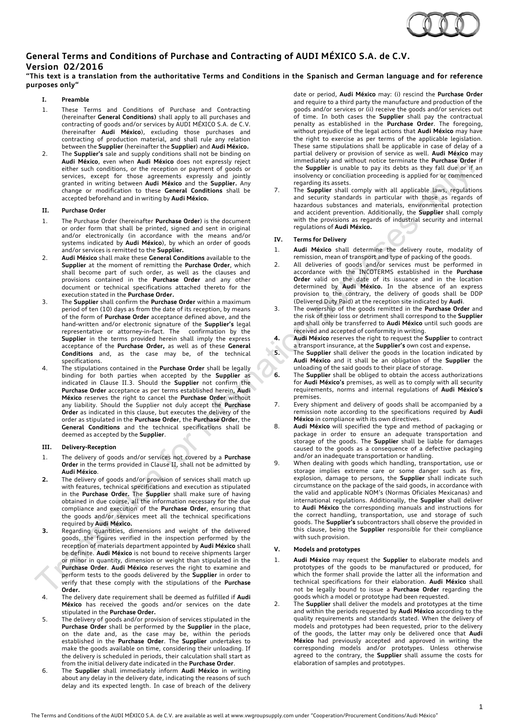

# **General Terms and Conditions of Purchase and Contracting of AUDI MÉXICO S.A. de C.V. Version 02/2016**

## **"This text is a translation from the authoritative Terms and Conditions in the Spanisch and German language and for reference purposes only"**

### **I. Preamble**

- 1. These Terms and Conditions of Purchase and Contracting (hereinafter **General Conditions)** shall apply to all purchases and contracting of goods and/or services by AUDI MÉXICO S.A. de C.V. (hereinafter **Audi México**), excluding those purchases and contracting of production material, and shall rule any relation between the **Supplier** (hereinafter the **Supplier**) and **Audi México.**
- 2. The **Supplier's** sale and supply conditions shall not be binding on **Audi México**, even when **Audi México** does not expressly reject either such conditions, or the reception or payment of goods or services, except for those agreements expressly and jointly granted in writing between **Audi México** and the **Supplier.** Any change or modification to these **General Conditions** shall be accepted beforehand and in writing by **Audi México.**

### **II. Purchase Order**

- 1. The Purchase Order (hereinafter **Purchase Order**) is the document or order form that shall be printed, signed and sent in original and/or electronically (in accordance with the means and/or systems indicated by **Audi México**), by which an order of goods and/or services is remitted to the **Supplier.**
- 2. **Audi México** shall make these **General Conditions** available to the **Supplier** at the moment of remitting the **Purchase Order**, which shall become part of such order, as well as the clauses and provisions contained in the **Purchase Order** and any other document or technical specifications attached thereto for the execution stated in the **Purchase Order.**
- 3. The **Supplier** shall confirm the **Purchase Order** within a maximum period of ten (10) days as from the date of its reception, by means of the form of **Purchase Order** acceptance defined above, and the hand-written and/or electronic signature of the **Supplier's** legal representative or attorney-in-fact. The confirmation by the Supplier in the terms provided herein shall imply the express acceptance of the **Purchase Order,** as well as of these **General Conditions** and, as the case may be, of the technical specifications.
- 4. The stipulations contained in the **Purchase Order** shall be legally binding for both parties when accepted by the **Supplier** as indicated in Clause II.3. Should the **Supplier** not confirm the **Purchase Order** acceptance as per terms established herein, **Audi México** reserves the right to cancel the **Purchase Order** without any liability. Should the Supplier not duly accept the **Purchase Order** as indicated in this clause, but executes the delivery of the order as stipulated in the **Purchase Order**, the **Purchase Order**, the **General Conditions** and the technical specifications shall be deemed as accepted by the **Supplier**.

#### **III. Delivery-Reception**

- 1. The delivery of goods and/or services not covered by a **Purchase Order** in the terms provided in Clause II, shall not be admitted by **Audi México**.
- **2.** The delivery of goods and/or provision of services shall match up with features, technical specifications and execution as stipulated in the **Purchase Order.** The **Supplier** shall make sure of having obtained in due course, all the information necessary for the due compliance and execution of the **Purchase Order**, ensuring that the goods and/or services meet all the technical specifications required by **Audi México.**
- **3.** Regarding quantities, dimensions and weight of the delivered goods, the figures verified in the inspection performed by the reception of materials department appointed by **Audi México** shall be definite. **Audi México** is not bound to receive shipments larger or minor in quantity, dimension or weight than stipulated in the **Purchase Order**. **Audi México** reserves the right to examine and perform tests to the goods delivered by the **Supplier** in order to verify that these comply with the stipulations of the **Purchase Order.**
- 4. The delivery date requirement shall be deemed as fulfilled if **Audi México** has received the goods and/or services on the date stipulated in the **Purchase Order.**
- 5. The delivery of goods and/or provision of services stipulated in the **Purchase Order** shall be performed by the **Supplier** in the place, on the date and, as the case may be, within the periods established in the **Purchase Order**. The **Supplier** undertakes to make the goods available on time, considering their unloading. If the delivery is scheduled in periods, their calculation shall start as from the initial delivery date indicated in the **Purchase Order**.
- 6. The **Supplier** shall immediately inform **Audi México** in writing about any delay in the delivery date, indicating the reasons of such delay and its expected length. In case of breach of the delivery

date or period, **Audi México** may: (i) rescind the **Purchase Order**  and require to a third party the manufacture and production of the goods and/or services or (ii) receive the goods and/or services out of time. In both cases the **Supplier** shall pay the contractual penalty as established in the **Purchase Order**. The foregoing, without prejudice of the legal actions that **Audi México** may have the right to exercise as per terms of the applicable legislation. These same stipulations shall be applicable in case of delay of a partial delivery or provision of service as well. **Audi México** may immediately and without notice terminate the **Purchase Order** if the **Supplier** is unable to pay its debts as they fall due or if an insolvency or conciliation proceeding is applied for or commenced regarding its assets.

7. The **Supplier** shall comply with all applicable laws, regulations and security standards in particular with those as regards of hazardous substances and materials, environmental protection and accident prevention. Additionally, the **Supplier** shall comply with the provisions as regards of industrial security and internal regulations of **Audi México.**

### **IV. Terms for Delivery**

- 1. **Audi México** shall determine the delivery route, modality of remission, mean of transport and type of packing of the goods.
- 2. All deliveries of goods and/or services must be performed in accordance with the INCOTERMS established in the **Purchase Order** valid on the date of its issuance and in the location determined by **Audi México.** In the absence of an express provision to the contrary, the delivery of goods shall be DDP (Delivered Duty Paid) at the reception site indicated by **Audi**.
- 3. The ownership of the goods remitted in the **Purchase Order** and the risk of their loss or detriment shall correspond to the **Supplier**  and shall only be transferred to **Audi México** until such goods are received and accepted of conformity in writing.
- **4. Audi México** reserves the right to request the **Supplier** to contract a transport insurance, at the **Supplier's** own cost and expense**.**
- **5.** The **Supplier** shall deliver the goods in the location indicated by **Audi México** and it shall be an obligation of the **Supplier** the unloading of the said goods to their place of storage.
	- **6.** The **Supplier** shall be obliged to obtain the access authorizations for **Audi México's** premises, as well as to comply with all security requirements, norms and internal regulations of **Audi México's**  premises.
	- 7. Every shipment and delivery of goods shall be accompanied by a remission note according to the specifications required by **Audi México** in compliance with its own directives.
	- 8. **Audi México** will specified the type and method of packaging or package in order to ensure an adequate transportation and storage of the goods. The **Supplier** shall be liable for damages caused to the goods as a consequence of a defective packaging and/or an inadequate transportation or handling.
	- 9. When dealing with goods which handling, transportation, use or storage implies extreme care or some danger such as fire, explosion, damage to persons, the **Supplier** shall indicate such circumstance on the package of the said goods, in accordance with the valid and applicable NOM's (Normas Oficiales Mexicanas) and international regulations. Additionally, the **Supplier** shall deliver to **Audi México** the corresponding manuals and instructions for the correct handling, transportation, use and storage of such goods. The **Supplier's** subcontractors shall observe the provided in this clause, being the **Supplier** responsible for their compliance with such provision.

### **V. Models and prototypes**

- 1. **Audi México** may request the **Supplier** to elaborate models and prototypes of the goods to be manufactured or produced, for which the former shall provide the latter all the information and technical specifications for their elaboration. **Audi México** shall not be legally bound to issue a **Purchase Order** regarding the goods which a model or prototype had been requested.
- 2. The **Supplier** shall deliver the models and prototypes at the time and within the periods requested by **Audi México** according to the quality requirements and standards stated. When the delivery of models and prototypes had been requested, prior to the delivery of the goods, the latter may only be delivered once that **Audi México** had previously accepted and approved in writing the corresponding models and/or prototypes. Unless otherwise agreed to the contrary, the **Supplier** shall assume the costs for elaboration of samples and prototypes.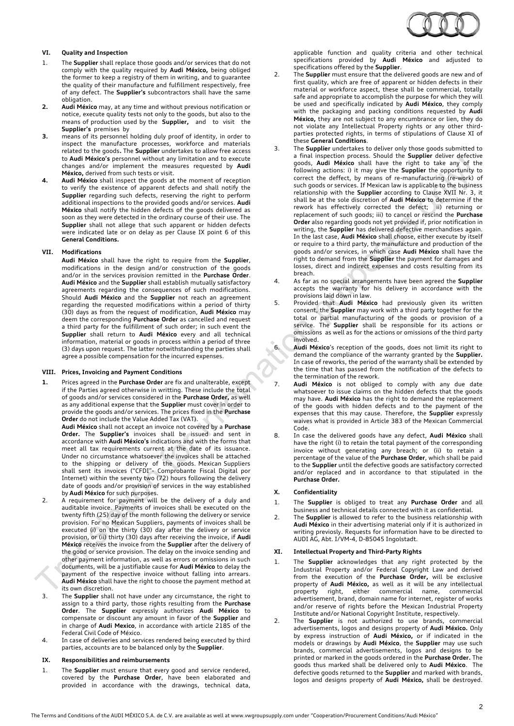

### **VI. Quality and Inspection**

- 1. The **Supplier** shall replace those goods and/or services that do not comply with the quality required by **Audi México,** being obliged the former to keep a registry of them in writing, and to guarantee the quality of their manufacture and fulfillment respectively, free of any defect. The **Supplier's** subcontractors shall have the same obligation.
- **2. Audi México** may, at any time and without previous notification or notice, execute quality tests not only to the goods, but also to the means of production used by the **Supplier,** and to visit the **Supplier's** premises by
- **3.** means of its personnel holding duly proof of identity, in order to inspect the manufacture processes, workforce and materials related to the goods**.** The **Supplier** undertakes to allow free access to **Audi México's** personnel without any limitation and to execute changes and/or implement the measures requested by **Audi México,** derived from such tests or visit.
- **4. Audi México** shall inspect the goods at the moment of reception to verify the existence of apparent defects and shall notify the **Supplier** regarding such defects, reserving the right to perform additional inspections to the provided goods and/or services. **Audi México** shall notify the hidden defects of the goods delivered as soon as they were detected in the ordinary course of their use. The **Supplier** shall not allege that such apparent or hidden defects were indicated late or on delay as per Clause IX point 6 of this **General Conditions.**

#### **VII. Modifications**

**Audi México** shall have the right to require from the **Supplier**, modifications in the design and/or construction of the goods and/or in the services provision remitted in the **Purchase Order**. **Audi México** and the **Supplier** shall establish mutually satisfactory agreements regarding the consequences of such modifications. Should **Audi México** and the **Supplier** not reach an agreement regarding the requested modifications within a period of thirty (30) days as from the request of modification, **Audi México** may deem the corresponding **Purchase Order** as cancelled and request a third party for the fulfillment of such order; in such event the **Supplier** shall return to **Audi México** every and all technical information, material or goods in process within a period of three (3) days upon request. The latter notwithstanding the parties shall agree a possible compensation for the incurred expenses.

### **VIII. Prices, Invoicing and Payment Conditions**

**1.** Prices agreed in the **Purchase Order** are fix and unalterable, except if the Parties agreed otherwise in writting. These include the total of goods and/or services considered in the **Purchase Order,** as well as any additional expense that the **Supplier** must cover in order to provide the goods and/or services. The prices fixed in the **Purchase Order** do not include the Value Added Tax (VAT).

**Audi México** shall not accept an invoice not covered by a **Purchase Order.** The **Supplier's** invoices shall be issued and sent in accordance with **Audi México's** indications and with the forms that meet all tax requirements current at the date of its issuance. Under no circumstance whatsoever the invoices shall be attached to the shipping or delivery of the goods. Mexican Suppliers shall sent its invoices ("CFDI"- Comprobante Fiscal Digital por Internet) within the seventy two (72) hours following the delivery date of goods and/or provision of services in the way established by **Audi México** for such purposes.

- 2. A requirement for payment will be the delivery of a duly and auditable invoice. Payments of invoices shall be executed on the twenty fifth (25) day of the month following the delivery or service provision. For no Mexican Suppliers, payments of invoices shall be executed (i) on the thirty (30) day after the delivery or service provision, or (ii) thirty (30) days after receiving the invoice, if **Audi México** receives the invoice from the **Supplier** after the delivery of the good or service provision. The delay on the invoice sending and other payment information, as well as errors or omissions in such documents, will be a justifiable cause for **Audi México** to delay the payment of the respective invoice without falling into arrears. **Audi México** shall have the right to choose the payment method at its own discretion.
- 3. The **Supplier** shall not have under any circumstance, the right to assign to a third party, those rights resulting from the **Purchase Order**. The **Supplier** expressly authorizes **Audi México** to compensate or discount any amount in favor of the **Supplier** and in charge of **Audi Mexico**, in accordance with article 2185 of the Federal Civil Code of México.
- 4. In case of deliveries and services rendered being executed by third parties, accounts are to be balanced only by the **Supplier**.

#### **IX. Responsibilities and reimbursements**

1. The **Supplier** must ensure that every good and service rendered, covered by the **Purchase Order**, have been elaborated and provided in accordance with the drawings, technical data, applicable function and quality criteria and other technical specifications provided by **Audi México** and adjusted to specifications offered by the **Supplier**.

- 2. The **Supplier** must ensure that the delivered goods are new and of first quality, which are free of apparent or hidden defects in their material or workforce aspect, these shall be commercial, totally safe and appropriate to accomplish the purpose for which they will be used and specifically indicated by **Audi México**, they comply with the packaging and packing conditions requested by **Audi México,** they are not subject to any encumbrance or lien, they do not violate any Intellectual Property rights or any other thirdparties protected rights, in terms of stipulations of Clause XI of these **General Conditions**.
- 3. The **Supplier** undertakes to deliver only those goods submitted to a final inspection process. Should the **Supplier** deliver defective goods, **Audi México** shall have the right to take any of the following actions: i) it may give the **Supplier** the opportunity to correct the deffect, by means of re-manufacturing (re-work) of such goods or services. If Mexican law is applicable to the business relationship with the **Supplier** according to Clause XVII Nr. 3, it shall be at the sole discretion of **Audi México** to determine if the rework has effectively corrected the defect; ii) returning or replacement of such goods; iii) to cancel or rescind the **Purchase Order** also regarding goods not yet provided if, prior notification in writing, the **Supplier** has delivered defective merchandises again. In the last case, **Audi México** shall choose, either execute by itself or require to a third party, the manufacture and production of the goods and/or services, in which case **Audi México** shall have the right to demand from the **Supplier** the payment for damages and losses, direct and indirect expenses and costs resulting from its breach.
- 4. As far as no special arrangements have been agreed the **Supplier** accepts the warranty for his delivery in accordance with the provisions laid down in law.
- 5. Provided that **Audi México** had previously given its written consent, the **Supplier** may work with a third party together for the total or partial manufacturing of the goods or provision of a service. The **Supplier** shall be responsible for its actions or omissions as well as for the actions or omissions of the third party involved.
- 6. **Audi México**'s reception of the goods, does not limit its right to demand the compliance of the warranty granted by the **Supplier.** In case of reworks, the period of the warranty shall be extended by the time that has passed from the notification of the defects to the termination of the rework.
- 7. **Audi México** is not obliged to comply with any due date whatsoever to issue claims on the hidden defects that the goods may have. **Audi México** has the right to demand the replacement of the goods with hidden defects and to the payment of the expenses that this may cause. Therefore, the **Supplier** expressly waives what is provided in Article 383 of the Mexican Commercial Code.
- 8. In case the delivered goods have any defect, **Audi México** shall have the right (i) to retain the total payment of the corresponding invoice without generating any breach; or (ii) to retain a percentage of the value of the **Purchase Order**, which shall be paid to the **Supplier** until the defective goods are satisfactory corrected and/or replaced and in accordance to that stipulated in the **Purchase Order.**

#### **X. Confidentiality**

- 1. The **Supplier** is obliged to treat any **Purchase Order** and all business and technical details connected with it as confidential.
- 2. The **Supplier** is allowed to refer to the business relationship with **Audi México** in their advertising material only if it is authorized in writing previosly. Requests for information have to be directed to AUDI AG, Abt. I/VM-4, D-85045 Ingolstadt.

#### **XI. Intellectual Property and Third-Party Rights**

- 1. The **Supplier** acknowledges that any right protected by the Industrial Property and/or Federal Copyright Law and derived from the execution of the **Purchase Order,** will be exclusive property of **Audi México,** as well as it will be any intellectual property right, either commercial name, commercial advertisement, brand, domain name for internet, register of works and/or reserve of rights before the Mexican Industrial Property Institute and/or National Copyright Institute, respectively.
- 2. The **Supplier** is not authorized to use brands, commercial advertisements, logos and designs property of **Audi México.** Only by express instruction of **Audi México,** or if indicated in the models or drawings by **Audi México**, the **Supplier** may use such brands, commercial advertisements, logos and designs to be printed or marked in the goods ordered in the **Purchase Order.** The goods thus marked shall be delivered only to **Audi México**. The defective goods returned to the **Supplier** and marked with brands, logos and designs property of **Audi México,** shall be destroyed.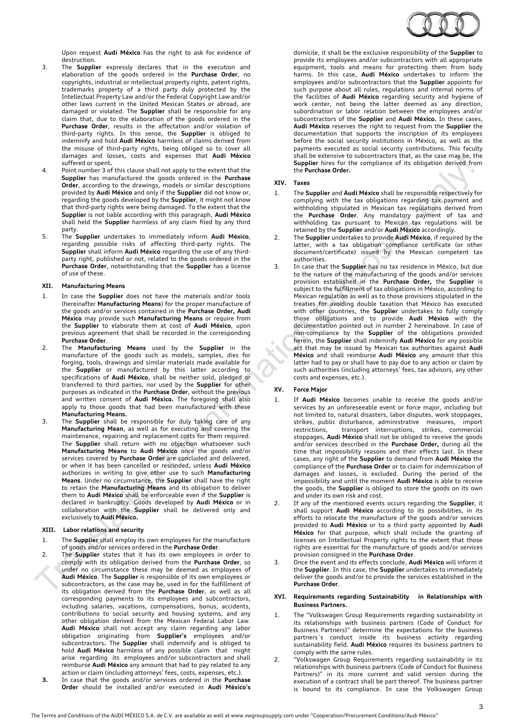

Upon request **Audi México** has the right to ask for evidence of destruction.

- 3. The **Supplier** expressly declares that in the execution and elaboration of the goods ordered in the **Purchase Order**, no copyrights, industrial or intellectual property rights, patent rights, trademarks property of a third party duly protected by the Intellectual Property Law and/or the Federal Copyright Law and/or other laws current in the United Mexican States or abroad, are damaged or violated. The **Supplier** shall be responsible for any claim that, due to the elaboration of the goods ordered in the **Purchase Order**, results in the affectation and/or violation of third-party rights. In this sense, the **Supplier** is obliged to indemnify and hold **Audi México** harmless of claims derived from the misuse of third-party rights, being obliged so to cover all damages and losses, costs and expenses that **Audi México**  suffered or spent**.**
- 4. Point number 3 of this clause shall not apply to the extent that the **Supplier** has manufactured the goods ordered in the **Purchase Order**, according to the drawings, models or similar descriptions provided by **Audi México** and only if the **Supplier** did not know or, regarding the goods developed by the **Supplier**, it might not know that third-party rights were being damaged. To the extent that the **Supplier** is not liable according with this paragraph, **Audi México** shall held the **Supplier** harmless of any claim filed by any third party.
- 5. The **Supplier** undertakes to immediately inform **Audi México**, regarding possible risks of affecting third-party rights. The **Supplier** shall inform **Audi México** regarding the use of any thirdparty right, published or not, related to the goods ordered in the **Purchase Order**, notwithstanding that the **Supplier** has a license of use of these.

### **XII. Manufacturing Means**

- 1. In case the **Supplier** does not have the materials and/or tools (hereinafter **Manufacturing Means**) for the proper manufacture of the goods and/or services contained in the **Purchase Order, Audi México** may provide such **Manufacturing Means** or require from the **Supplier** to elaborate them at cost of **Audi México**, upon previous agreement that shall be recorded in the corresponding **Purchase Order**.
- 2. The **Manufacturing Means** used by the **Supplier** in the manufacture of the goods such as models, samples, dies for forging, tools, drawings and similar materials made available for the **Supplier** or manufactured by this latter according to specifications of **Audi México**, shall be neither sold, pledged or transferred to third parties, nor used by the **Supplier** for other purposes as indicated in the **Purchase Order**, without the previous and written consent of **Audi México.** The foregoing shall also apply to those goods that had been manufactured with these **Manufacturing Means.**
- 3. The **Supplier** shall be responsible for duly taking care of any **Manufacturing Mean**, as well as for executing and covering the maintenance, repairing and replacement costs for them required. The **Supplier** shall return with no objection whatsoever such **Manufacturing Means** to **Audi México** once the goods and/or services covered by **Purchase Order** are concluded and delivered, or when it has been cancelled or rescinded, unless **Audi México**  authorizes in writing to give other use to such **Manufacturing Means**. Under no circumstance, the **Supplier** shall have the right to retain the **Manufacturing Means** and its obligation to deliver them to **Audi México** shall be enforceable even if the **Supplier** is declared in bankruptcy. Goods developed by **Audi México** or in collaboration with the **Supplier** shall be delivered only and exclusively to **Audi México.**

## **XIII. Labor relations and security**

- 1. The **Supplier** shall employ its own employees for the manufacture of goods and/or services ordered in the **Purchase Order**.
- 2. The **Supplier** states that it has its own employees in order to comply with its obligation derived from the **Purchase Order**, so under no circumstance these may be deemed as employees of **Audi México**. The **Supplier** is responsible of its own employees or subcontractors, as the case may be, used in for the fulfillment of its obligation derived from the **Purchase Order**, as well as all corresponding payments to its employees and subcontractors, including salaries, vacations, compensations, bonus, accidents, contributions to social security and housing systems, and any other obligation derived from the Mexican Federal Labor Law. **Audi México** shall not accept any claim regarding any labor obligation originating from **Supplier's** employees and/or subcontractors**.** The **Supplier** shall indemnify and is obliged to hold **Audi México** harmless of any possible claim that might arise regarding its employees and/or subcontractors and shall reimburse **Audi México** any amount that had to pay related to any action or claim (including attorneys' fees, costs, expenses, etc.).
- **3.** In case that the goods and/or services ordered in the **Purchase Order** should be installed and/or executed in **Audi México's**

domicile, it shall be the exclusive responsibility of the **Supplier** to provide its employees and/or subcontractors with all appropriate equipment, tools and means for protecting them from body harms. In this case, **Audi México** undertakes to inform the employees and/or subcontractors that the **Supplier** appoints for such purpose about all rules, regulations and internal norms of the facilities of **Audi México** regarding security and hygiene of work center, not being the latter deemed as any direction, subordination or labor relation between the employees and/or subcontractors of the **Supplier** and **Audi México.** In these cases, **Audi México** reserves the right to request from the **Supplier** the documentation that supports the inscription of its employees before the social security institutions in México, as well as the payments executed as social security contributions. This faculty shall be extensive to subcontractors that, as the case may be, the **Supplier** hires for the compliance of its obligation derived from the **Purchase Order.**

### **XIV. Taxes**

- 1. The **Supplier** and **Audi México** shall be responsible respectively for complying with the tax obligations regarding tax payment and withholding stipulated in Mexican tax regulations derived from the **Purchase Order**. Any mandatory payment of tax and withholding tax pursuant to Mexican tax regulations will be retained by the **Supplier** and/or **Audi México** accordingly.
- 2. The **Supplier** undertakes to provide **Audi México**, if required by the latter, with a tax obligation compliance certificate (or other document/certificate) issued by the Mexican competent tax authorities.
- 3. In case that the **Supplier** has no tax residence in México, but due to the nature of the manufacturing of the goods and/or services provision established in the **Purchase Order,** the **Supplier** is subject to the fulfillment of tax obligations in México, according to Mexican regulation as well as to those provisions stipulated in the treaties for avoiding double taxation that México has executed with other countries, the **Supplier** undertakes to fully comply those obligations and to provide **Audi México** with the documentation pointed out in number 2 hereinabove. In case of non-compliance by the **Supplier** of the obligations provided herein, the **Supplier** shall indemnify **Audi México** for any possible act that may be issued by Mexican tax authorities against **Audi México** and shall reimburse **Audi México** any amount that this latter had to pay or shall have to pay due to any action or claim by such authorities (including attorneys' fees, tax advisors, any other costs and expenses, etc.).

## **XV. Force Major**

- 1. If **Audi México** becomes unable to receive the goods and/or services by an unforeseeable event or force major, including but not limited to, natural disasters, labor disputes, work stoppages, strikes, public disturbance, administrative measures, import restrictions, transport interruptions, strikes, commercial stoppages, **Audi México** shall not be obliged to receive the goods and/or services described in the **Purchase Order,** during all the time that impossibility reasons and their effects last. In these cases, any right of the **Supplier** to demand from **Audi México** the compliance of the **Purchase Order** or to claim for indemnization of damages and losses, is excluded. During the period of the impossibility and until the moment **Audi México** is able to receive the goods, the **Supplier** is obliged to store the goods on its own and under its own risk and cost.
- 2. If any of the mentioned events occurs regarding the **Supplier**, it shall support **Audi México** according to its possibilities, in its efforts to relocate the manufacture of the goods and/or services provided to **Audi México** or to a third party appointed by **Audi México** for that purpose, which shall include the granting of licenses on Intellectual Property rights to the extent that those rights are essential for the manufacture of goods and/or services provision consigned in the **Purchase Order**.
- 3. Once the event and its effects conclude, **Audi México** will inform it the **Supplier**. In this case, the **Supplier** undertakes to immediately deliver the goods and/or to provide the services established in the **Purchase Order**.

#### **XVI. Requirements regarding Sustainability in Relationships with Business Partners.**

- 1. The "Volkswagen Group Requirements regarding sustainability in its relationships with business partners (Code of Conduct for Business Partners)" determine the expectations for the business partners´s conduct inside its business activity regarding sustainability field. **Audi México** requires its business partners to comply with the same rules.
- 2. "Volkswagen Group Requirements regarding sustainability in its relationships with business partners (Code of Conduct for Business Partners)" in its more current and valid version during the execution of a contract shall be part thereof. The business partner is bound to its compliance. In case the Volkswagen Group